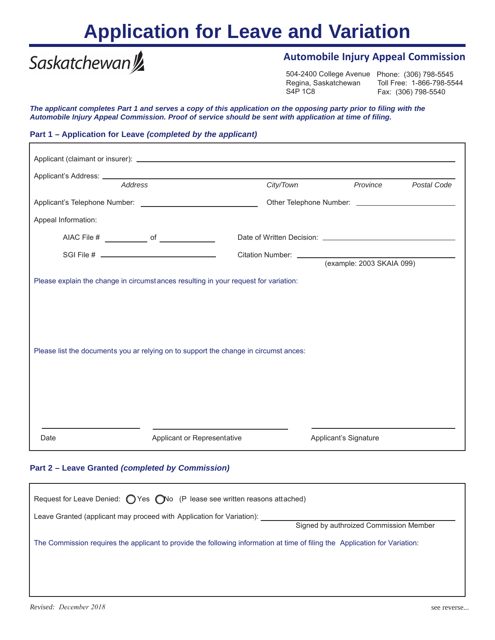## **Application for Leave and Variation**

# Saskatchewan<sup>y</sup>

### **Automobile Injury Appeal Commission**

504-2400 College Avenue Phone: (306) 798-5545 Toll Free: 1-866-798-5544 Regina, Saskatchewan Fax: (306) 798-5540

*The applicant completes Part 1 and serves a copy of this application on the opposing party prior to filing with the Automobile Injury Appeal Commission. Proof of service should be sent with application at time of filing.*

#### **Part 1 – Application for Leave** *(completed by the applicant)*

|                                                                                                                                                                             | Address |                             | City/Town |                       | Province                  | Postal Code |  |
|-----------------------------------------------------------------------------------------------------------------------------------------------------------------------------|---------|-----------------------------|-----------|-----------------------|---------------------------|-------------|--|
|                                                                                                                                                                             |         |                             |           |                       |                           |             |  |
| Appeal Information:                                                                                                                                                         |         |                             |           |                       |                           |             |  |
|                                                                                                                                                                             |         |                             |           |                       |                           |             |  |
|                                                                                                                                                                             |         |                             |           |                       | (example: 2003 SKAIA 099) |             |  |
| Please explain the change in circumstances resulting in your request for variation:<br>Please list the documents you ar relying on to support the change in circumst ances: |         |                             |           |                       |                           |             |  |
| Date                                                                                                                                                                        |         | Applicant or Representative |           | Applicant's Signature |                           |             |  |

#### **Part 2 – Leave Granted** *(completed by Commission)*

| Request for Leave Denied: $\bigcirc$ Yes $\bigcirc$ No (P lease see written reasons attached)                               |  |  |  |  |  |  |
|-----------------------------------------------------------------------------------------------------------------------------|--|--|--|--|--|--|
| Leave Granted (applicant may proceed with Application for Variation):<br>Signed by authroized Commission Member             |  |  |  |  |  |  |
| The Commission requires the applicant to provide the following information at time of filing the Application for Variation: |  |  |  |  |  |  |
|                                                                                                                             |  |  |  |  |  |  |
|                                                                                                                             |  |  |  |  |  |  |